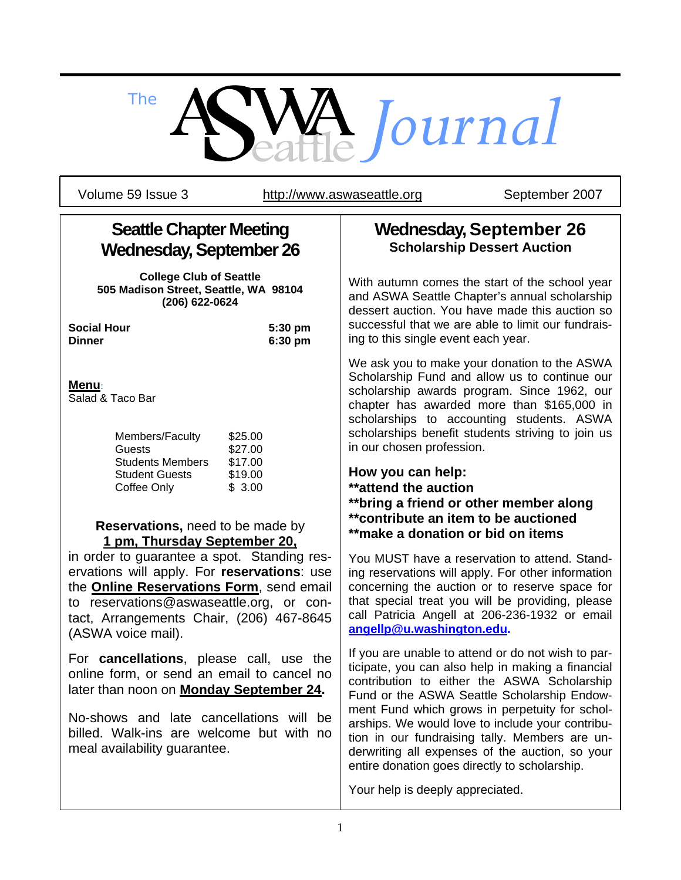# *The Journal*

Volume 59 Issue 3 http://www.aswaseattle.org September 2007

# **Seattle Chapter Meeting Wednesday, September 26**

**College Club of Seattle 505 Madison Street, Seattle, WA 98104 (206) 622-0624** 

**Social Hour 5:30 pm Dinner 6:30 pm**

#### **Menu**:

Salad & Taco Bar

| Members/Faculty         | \$25.00 |
|-------------------------|---------|
| Guests                  | \$27.00 |
| <b>Students Members</b> | \$17.00 |
| <b>Student Guests</b>   | \$19.00 |
| Coffee Only             | \$3.00  |

#### **Reservations,** need to be made by **1 pm, Thursday September 20,**

in order to guarantee a spot. Standing reservations will apply. For **reservations**: use the **Online Reservations Form**, send email to reservations@aswaseattle.org, or contact, Arrangements Chair, (206) 467-8645 (ASWA voice mail).

For **cancellations**, please call, use the online form, or send an email to cancel no later than noon on **Monday September 24.** 

No-shows and late cancellations will be billed. Walk-ins are welcome but with no meal availability guarantee.

## **Wednesday, September 26 Scholarship Dessert Auction**

With autumn comes the start of the school year and ASWA Seattle Chapter's annual scholarship dessert auction. You have made this auction so successful that we are able to limit our fundraising to this single event each year.

We ask you to make your donation to the ASWA Scholarship Fund and allow us to continue our scholarship awards program. Since 1962, our chapter has awarded more than \$165,000 in scholarships to accounting students. ASWA scholarships benefit students striving to join us in our chosen profession.

### **How you can help:**

- **\*\*attend the auction**
- **\*\*bring a friend or other member along**
- **\*\*contribute an item to be auctioned**
- **\*\*make a donation or bid on items**

You MUST have a reservation to attend. Standing reservations will apply. For other information concerning the auction or to reserve space for that special treat you will be providing, please call Patricia Angell at 206-236-1932 or email **angellp@u.washington.edu.**

If you are unable to attend or do not wish to participate, you can also help in making a financial contribution to either the ASWA Scholarship Fund or the ASWA Seattle Scholarship Endowment Fund which grows in perpetuity for scholarships. We would love to include your contribution in our fundraising tally. Members are underwriting all expenses of the auction, so your entire donation goes directly to scholarship.

Your help is deeply appreciated.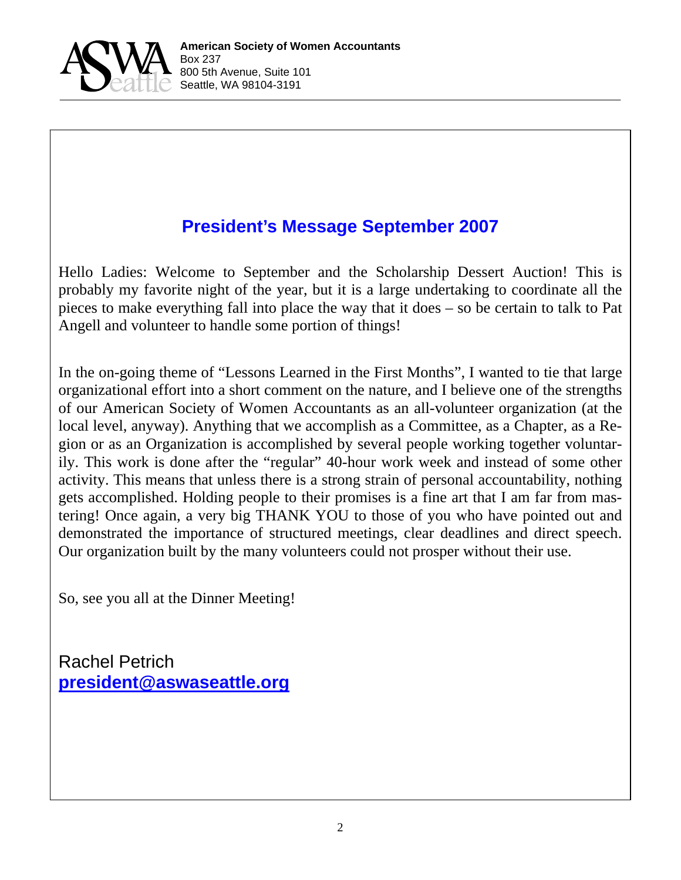

# **President's Message September 2007**

Hello Ladies: Welcome to September and the Scholarship Dessert Auction! This is probably my favorite night of the year, but it is a large undertaking to coordinate all the pieces to make everything fall into place the way that it does – so be certain to talk to Pat Angell and volunteer to handle some portion of things!

In the on-going theme of "Lessons Learned in the First Months", I wanted to tie that large organizational effort into a short comment on the nature, and I believe one of the strengths of our American Society of Women Accountants as an all-volunteer organization (at the local level, anyway). Anything that we accomplish as a Committee, as a Chapter, as a Region or as an Organization is accomplished by several people working together voluntarily. This work is done after the "regular" 40-hour work week and instead of some other activity. This means that unless there is a strong strain of personal accountability, nothing gets accomplished. Holding people to their promises is a fine art that I am far from mastering! Once again, a very big THANK YOU to those of you who have pointed out and demonstrated the importance of structured meetings, clear deadlines and direct speech. Our organization built by the many volunteers could not prosper without their use.

So, see you all at the Dinner Meeting!

Rachel Petrich **president@aswaseattle.org**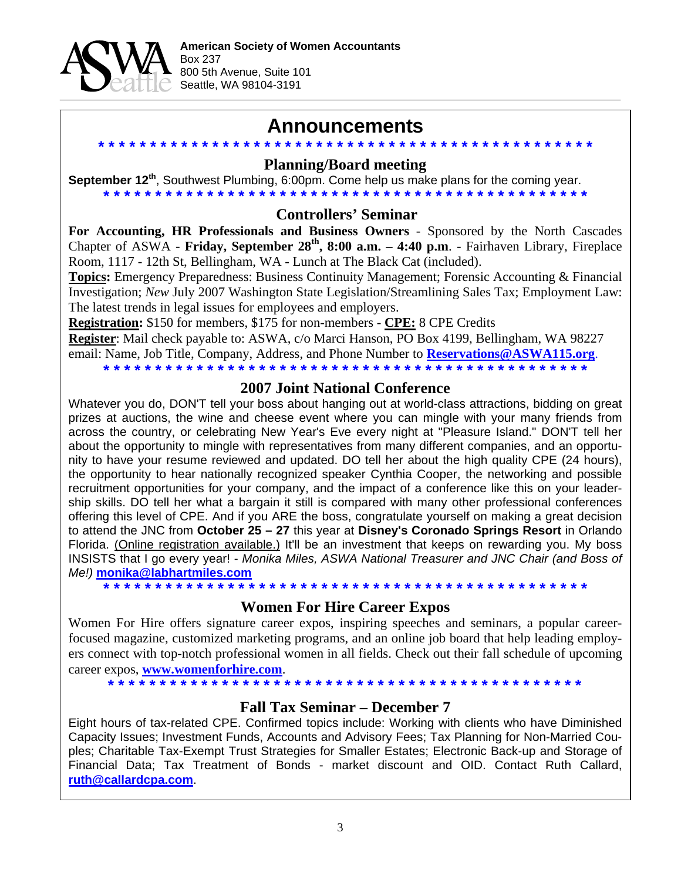

## **Announcements**

**\* \* \* \* \* \* \* \* \* \* \* \* \* \* \* \* \* \* \* \* \* \* \* \* \* \* \* \* \* \* \* \* \* \* \* \* \* \* \* \* \* \* \* \* \* \* \* \* Planning/Board meeting** 

**September 12th**, Southwest Plumbing, 6:00pm. Come help us make plans for the coming year. **\* \* \* \* \* \* \* \* \* \* \* \* \* \* \* \* \* \* \* \* \* \* \* \* \* \* \* \* \* \* \* \* \* \* \* \* \* \* \* \* \* \* \* \* \* \* \***

#### **Controllers' Seminar**

**For Accounting, HR Professionals and Business Owners** - Sponsored by the North Cascades Chapter of ASWA - **Friday, September 28th, 8:00 a.m. – 4:40 p.m**. - Fairhaven Library, Fireplace Room, 1117 - 12th St, Bellingham, WA - Lunch at The Black Cat (included).

**Topics:** Emergency Preparedness: Business Continuity Management; Forensic Accounting & Financial Investigation; *New* July 2007 Washington State Legislation/Streamlining Sales Tax; Employment Law: The latest trends in legal issues for employees and employers.

**Registration:** \$150 for members, \$175 for non-members - **CPE:** 8 CPE Credits

**Register**: Mail check payable to: ASWA, c/o Marci Hanson, PO Box 4199, Bellingham, WA 98227 email: Name, Job Title, Company, Address, and Phone Number to **Reservations@ASWA115.org**.

**\* \* \* \* \* \* \* \* \* \* \* \* \* \* \* \* \* \* \* \* \* \* \* \* \* \* \* \* \* \* \* \* \* \* \* \* \* \* \* \* \* \* \* \* \* \* \***

#### **2007 Joint National Conference**

Whatever you do, DON'T tell your boss about hanging out at world-class attractions, bidding on great prizes at auctions, the wine and cheese event where you can mingle with your many friends from across the country, or celebrating New Year's Eve every night at "Pleasure Island." DON'T tell her about the opportunity to mingle with representatives from many different companies, and an opportunity to have your resume reviewed and updated. DO tell her about the high quality CPE (24 hours), the opportunity to hear nationally recognized speaker Cynthia Cooper, the networking and possible recruitment opportunities for your company, and the impact of a conference like this on your leadership skills. DO tell her what a bargain it still is compared with many other professional conferences offering this level of CPE. And if you ARE the boss, congratulate yourself on making a great decision to attend the JNC from **October 25 – 27** this year at **Disney's Coronado Springs Resort** in Orlando Florida. (Online registration available.) It'll be an investment that keeps on rewarding you. My boss INSISTS that I go every year! - *Monika Miles, ASWA National Treasurer and JNC Chair (and Boss of Me!)* **monika@labhartmiles.com**

**\* \* \* \* \* \* \* \* \* \* \* \* \* \* \* \* \* \* \* \* \* \* \* \* \* \* \* \* \* \* \* \* \* \* \* \* \* \* \* \* \* \* \* \* \* \* \*** 

#### **Women For Hire Career Expos**

Women For Hire offers signature career expos, inspiring speeches and seminars, a popular careerfocused magazine, customized marketing programs, and an online job board that help leading employers connect with top-notch professional women in all fields. Check out their fall schedule of upcoming career expos, **www.womenforhire.com**.

**\* \* \* \* \* \* \* \* \* \* \* \* \* \* \* \* \* \* \* \* \* \* \* \* \* \* \* \* \* \* \* \* \* \* \* \* \* \* \* \* \* \* \* \* \* \*** 

#### **Fall Tax Seminar – December 7**

Eight hours of tax-related CPE. Confirmed topics include: Working with clients who have Diminished Capacity Issues; Investment Funds, Accounts and Advisory Fees; Tax Planning for Non-Married Couples; Charitable Tax-Exempt Trust Strategies for Smaller Estates; Electronic Back-up and Storage of Financial Data; Tax Treatment of Bonds - market discount and OID. Contact Ruth Callard, **ruth@callardcpa.com**.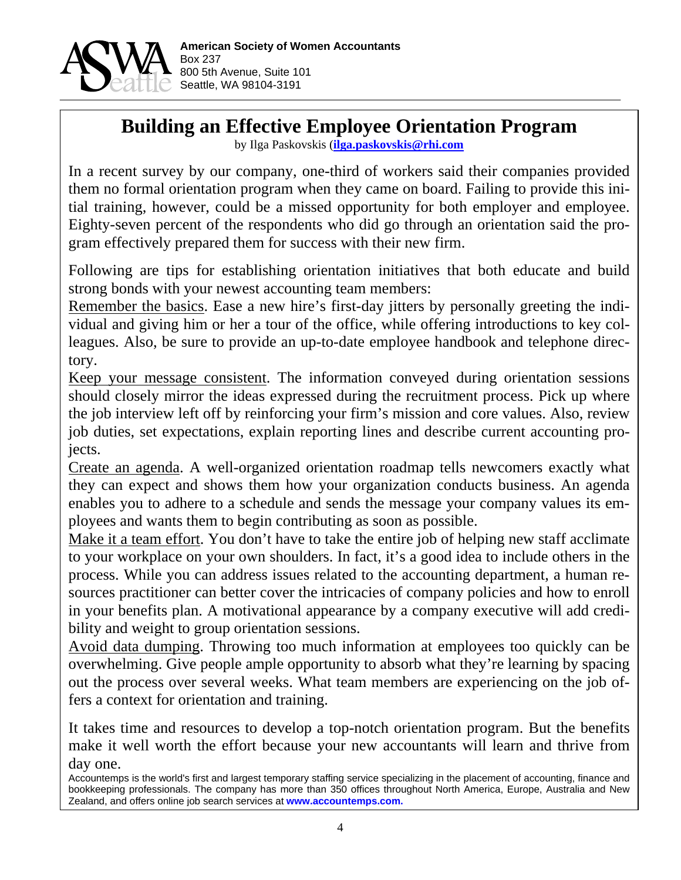

# **Building an Effective Employee Orientation Program**

by Ilga Paskovskis (**ilga.paskovskis@rhi.com**

In a recent survey by our company, one-third of workers said their companies provided them no formal orientation program when they came on board. Failing to provide this initial training, however, could be a missed opportunity for both employer and employee. Eighty-seven percent of the respondents who did go through an orientation said the program effectively prepared them for success with their new firm.

Following are tips for establishing orientation initiatives that both educate and build strong bonds with your newest accounting team members:

Remember the basics. Ease a new hire's first-day jitters by personally greeting the individual and giving him or her a tour of the office, while offering introductions to key colleagues. Also, be sure to provide an up-to-date employee handbook and telephone directory.

Keep your message consistent. The information conveyed during orientation sessions should closely mirror the ideas expressed during the recruitment process. Pick up where the job interview left off by reinforcing your firm's mission and core values. Also, review job duties, set expectations, explain reporting lines and describe current accounting projects.

Create an agenda. A well-organized orientation roadmap tells newcomers exactly what they can expect and shows them how your organization conducts business. An agenda enables you to adhere to a schedule and sends the message your company values its employees and wants them to begin contributing as soon as possible.

Make it a team effort. You don't have to take the entire job of helping new staff acclimate to your workplace on your own shoulders. In fact, it's a good idea to include others in the process. While you can address issues related to the accounting department, a human resources practitioner can better cover the intricacies of company policies and how to enroll in your benefits plan. A motivational appearance by a company executive will add credibility and weight to group orientation sessions.

Avoid data dumping. Throwing too much information at employees too quickly can be overwhelming. Give people ample opportunity to absorb what they're learning by spacing out the process over several weeks. What team members are experiencing on the job offers a context for orientation and training.

It takes time and resources to develop a top-notch orientation program. But the benefits make it well worth the effort because your new accountants will learn and thrive from day one.

Accountemps is the world's first and largest temporary staffing service specializing in the placement of accounting, finance and bookkeeping professionals. The company has more than 350 offices throughout North America, Europe, Australia and New Zealand, and offers online job search services at **www.accountemps.com.**